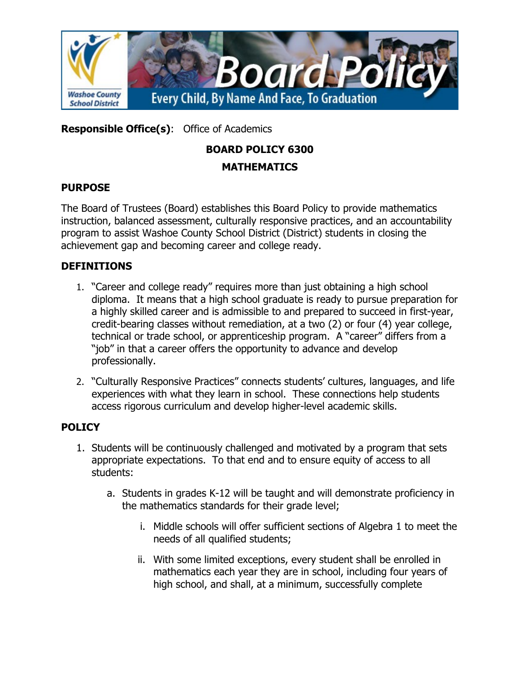

**Responsible Office(s)**: Office of Academics

# **BOARD POLICY 6300**

## **MATHEMATICS**

## **PURPOSE**

The Board of Trustees (Board) establishes this Board Policy to provide mathematics instruction, balanced assessment, culturally responsive practices, and an accountability program to assist Washoe County School District (District) students in closing the achievement gap and becoming career and college ready.

## **DEFINITIONS**

- 1. "Career and college ready" requires more than just obtaining a high school diploma. It means that a high school graduate is ready to pursue preparation for a highly skilled career and is admissible to and prepared to succeed in first-year, credit-bearing classes without remediation, at a two (2) or four (4) year college, technical or trade school, or apprenticeship program. A "career" differs from a "job" in that a career offers the opportunity to advance and develop professionally.
- 2. "Culturally Responsive Practices" connects students' cultures, languages, and life experiences with what they learn in school. These connections help students access rigorous curriculum and develop higher-level academic skills.

## **POLICY**

- 1. Students will be continuously challenged and motivated by a program that sets appropriate expectations. To that end and to ensure equity of access to all students:
	- a. Students in grades K-12 will be taught and will demonstrate proficiency in the mathematics standards for their grade level;
		- i. Middle schools will offer sufficient sections of Algebra 1 to meet the needs of all qualified students;
		- ii. With some limited exceptions, every student shall be enrolled in mathematics each year they are in school, including four years of high school, and shall, at a minimum, successfully complete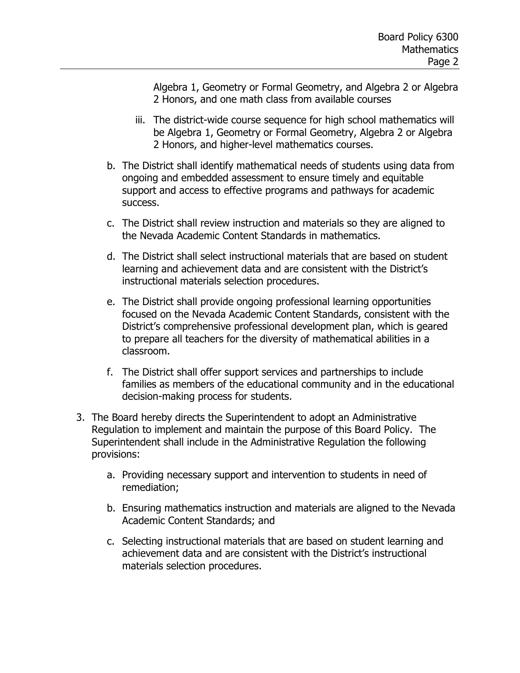Algebra 1, Geometry or Formal Geometry, and Algebra 2 or Algebra 2 Honors, and one math class from available courses

- iii. The district-wide course sequence for high school mathematics will be Algebra 1, Geometry or Formal Geometry, Algebra 2 or Algebra 2 Honors, and higher-level mathematics courses.
- b. The District shall identify mathematical needs of students using data from ongoing and embedded assessment to ensure timely and equitable support and access to effective programs and pathways for academic success.
- c. The District shall review instruction and materials so they are aligned to the Nevada Academic Content Standards in mathematics.
- d. The District shall select instructional materials that are based on student learning and achievement data and are consistent with the District's instructional materials selection procedures.
- e. The District shall provide ongoing professional learning opportunities focused on the Nevada Academic Content Standards, consistent with the District's comprehensive professional development plan, which is geared to prepare all teachers for the diversity of mathematical abilities in a classroom.
- f. The District shall offer support services and partnerships to include families as members of the educational community and in the educational decision-making process for students.
- 3. The Board hereby directs the Superintendent to adopt an Administrative Regulation to implement and maintain the purpose of this Board Policy. The Superintendent shall include in the Administrative Regulation the following provisions:
	- a. Providing necessary support and intervention to students in need of remediation;
	- b. Ensuring mathematics instruction and materials are aligned to the Nevada Academic Content Standards; and
	- c. Selecting instructional materials that are based on student learning and achievement data and are consistent with the District's instructional materials selection procedures.